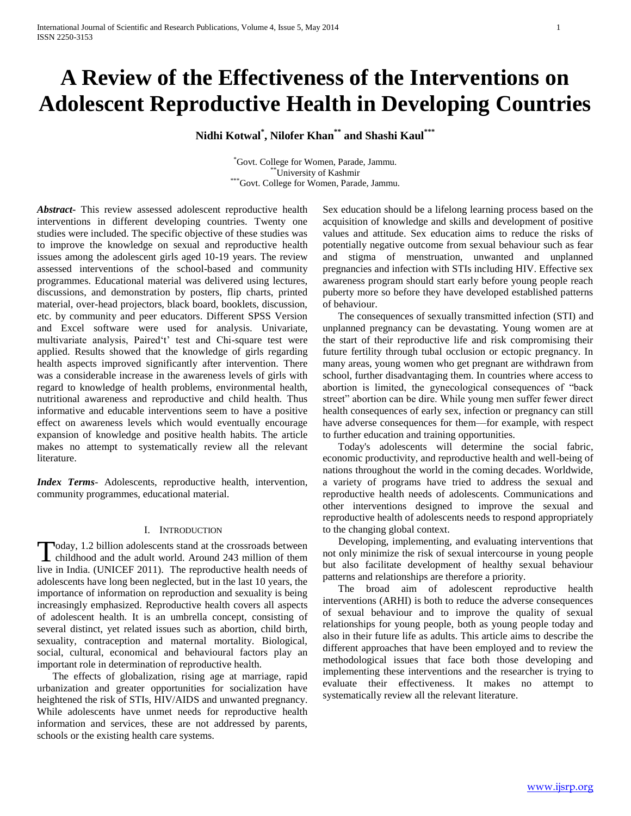# **A Review of the Effectiveness of the Interventions on Adolescent Reproductive Health in Developing Countries**

**Nidhi Kotwal\* , Nilofer Khan\*\* and Shashi Kaul\*\*\***

\*Govt. College for Women, Parade, Jammu. \*University of Kashmir \*\*\*Govt. College for Women, Parade, Jammu.

*Abstract***-** This review assessed adolescent reproductive health interventions in different developing countries. Twenty one studies were included. The specific objective of these studies was to improve the knowledge on sexual and reproductive health issues among the adolescent girls aged 10-19 years. The review assessed interventions of the school-based and community programmes. Educational material was delivered using lectures, discussions, and demonstration by posters, flip charts, printed material, over-head projectors, black board, booklets, discussion, etc. by community and peer educators. Different SPSS Version and Excel software were used for analysis. Univariate, multivariate analysis, Paired't' test and Chi-square test were applied. Results showed that the knowledge of girls regarding health aspects improved significantly after intervention. There was a considerable increase in the awareness levels of girls with regard to knowledge of health problems, environmental health, nutritional awareness and reproductive and child health. Thus informative and educable interventions seem to have a positive effect on awareness levels which would eventually encourage expansion of knowledge and positive health habits. The article makes no attempt to systematically review all the relevant literature.

*Index Terms*- Adolescents, reproductive health, intervention, community programmes, educational material.

### I. INTRODUCTION

oday, 1.2 billion adolescents stand at the crossroads between Today, 1.2 billion adolescents stand at the crossroads between<br>childhood and the adult world. Around 243 million of them live in India. (UNICEF 2011). The reproductive health needs of adolescents have long been neglected, but in the last 10 years, the importance of information on reproduction and sexuality is being increasingly emphasized. Reproductive health covers all aspects of adolescent health. It is an umbrella concept, consisting of several distinct, yet related issues such as abortion, child birth, sexuality, contraception and maternal mortality. Biological, social, cultural, economical and behavioural factors play an important role in determination of reproductive health.

 The effects of globalization, rising age at marriage, rapid urbanization and greater opportunities for socialization have heightened the risk of STIs, HIV/AIDS and unwanted pregnancy. While adolescents have unmet needs for reproductive health information and services, these are not addressed by parents, schools or the existing health care systems.

Sex education should be a lifelong learning process based on the acquisition of knowledge and skills and development of positive values and attitude. Sex education aims to reduce the risks of potentially negative outcome from sexual behaviour such as fear and stigma of menstruation, unwanted and unplanned pregnancies and infection with STIs including HIV. Effective sex awareness program should start early before young people reach puberty more so before they have developed established patterns of behaviour.

 The consequences of sexually transmitted infection (STI) and unplanned pregnancy can be devastating. Young women are at the start of their reproductive life and risk compromising their future fertility through tubal occlusion or ectopic pregnancy. In many areas, young women who get pregnant are withdrawn from school, further disadvantaging them. In countries where access to abortion is limited, the gynecological consequences of "back street" abortion can be dire. While young men suffer fewer direct health consequences of early sex, infection or pregnancy can still have adverse consequences for them—for example, with respect to further education and training opportunities.

 Today's adolescents will determine the social fabric, economic productivity, and reproductive health and well-being of nations throughout the world in the coming decades. Worldwide, a variety of programs have tried to address the sexual and reproductive health needs of adolescents. Communications and other interventions designed to improve the sexual and reproductive health of adolescents needs to respond appropriately to the changing global context.

 Developing, implementing, and evaluating interventions that not only minimize the risk of sexual intercourse in young people but also facilitate development of healthy sexual behaviour patterns and relationships are therefore a priority.

 The broad aim of adolescent reproductive health interventions (ARHI) is both to reduce the adverse consequences of sexual behaviour and to improve the quality of sexual relationships for young people, both as young people today and also in their future life as adults. This article aims to describe the different approaches that have been employed and to review the methodological issues that face both those developing and implementing these interventions and the researcher is trying to evaluate their effectiveness. It makes no attempt to systematically review all the relevant literature.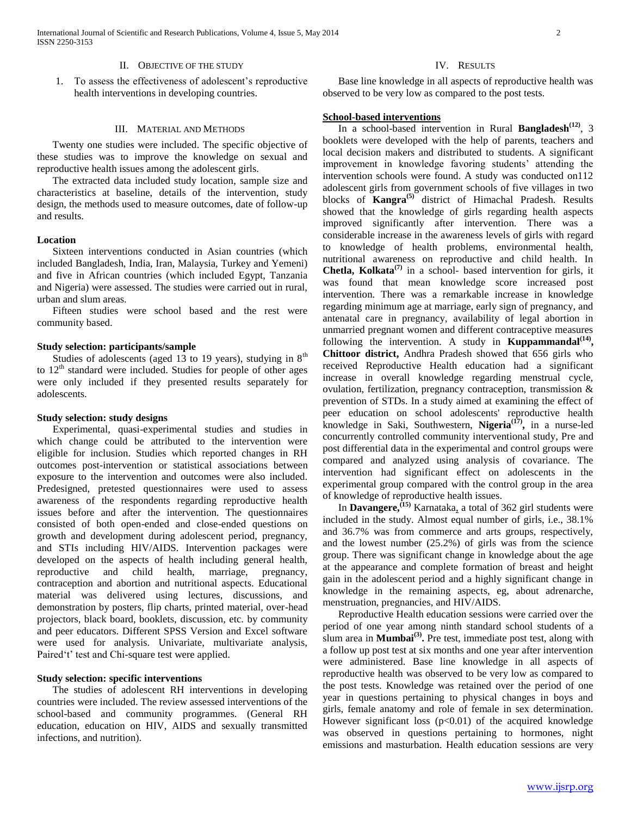1. To assess the effectiveness of adolescent's reproductive health interventions in developing countries.

### III. MATERIAL AND METHODS

 Twenty one studies were included. The specific objective of these studies was to improve the knowledge on sexual and reproductive health issues among the adolescent girls.

 The extracted data included study location, sample size and characteristics at baseline, details of the intervention, study design, the methods used to measure outcomes, date of follow-up and results.

#### **Location**

 Sixteen interventions conducted in Asian countries (which included Bangladesh, India, Iran, Malaysia, Turkey and Yemeni) and five in African countries (which included Egypt, Tanzania and Nigeria) were assessed. The studies were carried out in rural, urban and slum areas.

 Fifteen studies were school based and the rest were community based.

## **Study selection: participants/sample**

Studies of adolescents (aged 13 to 19 years), studying in  $8<sup>th</sup>$ to  $12<sup>th</sup>$  standard were included. Studies for people of other ages were only included if they presented results separately for adolescents.

#### **Study selection: study designs**

 Experimental, quasi-experimental studies and studies in which change could be attributed to the intervention were eligible for inclusion. Studies which reported changes in RH outcomes post-intervention or statistical associations between exposure to the intervention and outcomes were also included. Predesigned, pretested questionnaires were used to assess awareness of the respondents regarding reproductive health issues before and after the intervention. The questionnaires consisted of both open-ended and close-ended questions on growth and development during adolescent period, pregnancy, and STIs including HIV/AIDS. Intervention packages were developed on the aspects of health including general health, reproductive and child health, marriage, pregnancy, contraception and abortion and nutritional aspects. Educational material was delivered using lectures, discussions, and demonstration by posters, flip charts, printed material, over-head projectors, black board, booklets, discussion, etc. by community and peer educators. Different SPSS Version and Excel software were used for analysis. Univariate, multivariate analysis, Paired't' test and Chi-square test were applied.

#### **Study selection: specific interventions**

 The studies of adolescent RH interventions in developing countries were included. The review assessed interventions of the school-based and community programmes. (General RH education, education on HIV, AIDS and sexually transmitted infections, and nutrition).

## IV. RESULTS

 Base line knowledge in all aspects of reproductive health was observed to be very low as compared to the post tests.

## **School-based interventions**

 In a school-based intervention in Rural **Bangladesh(12)**, 3 booklets were developed with the help of parents, teachers and local decision makers and distributed to students. A significant improvement in knowledge favoring students' attending the intervention schools were found. A study was conducted on112 adolescent girls from government schools of five villages in two blocks of **Kangra(5)** district of Himachal Pradesh. Results showed that the knowledge of girls regarding health aspects improved significantly after intervention. There was a considerable increase in the awareness levels of girls with regard to knowledge of health problems, environmental health, nutritional awareness on reproductive and child health. In **Chetla, Kolkata(7)** in a school- based intervention for girls, it was found that mean knowledge score increased post intervention. There was a remarkable increase in knowledge regarding minimum age at marriage, early sign of pregnancy, and antenatal care in pregnancy, availability of legal abortion in unmarried pregnant women and different contraceptive measures following the intervention. A study in **Kuppammandal**<sup>(14)</sup>, **Chittoor district,** Andhra Pradesh showed that 656 girls who received Reproductive Health education had a significant increase in overall knowledge regarding menstrual cycle, ovulation, fertilization, pregnancy contraception, transmission & prevention of STDs. In a study aimed at examining the effect of peer education on school adolescents' reproductive health knowledge in Saki, Southwestern, **Nigeria(17) ,** in a nurse-led concurrently controlled community interventional study, Pre and post differential data in the experimental and control groups were compared and analyzed using analysis of covariance. The intervention had significant effect on adolescents in the experimental group compared with the control group in the area of knowledge of reproductive health issues.

 In **Davangere,(15)** Karnataka, a total of 362 girl students were included in the study. Almost equal number of girls, i.e., 38.1% and 36.7% was from commerce and arts groups, respectively, and the lowest number (25.2%) of girls was from the science group. There was significant change in knowledge about the age at the appearance and complete formation of breast and height gain in the adolescent period and a highly significant change in knowledge in the remaining aspects, eg, about adrenarche, menstruation, pregnancies, and HIV/AIDS.

 Reproductive Health education sessions were carried over the period of one year among ninth standard school students of a slum area in **Mumbai**<sup>(3)</sup>. Pre test, immediate post test, along with a follow up post test at six months and one year after intervention were administered. Base line knowledge in all aspects of reproductive health was observed to be very low as compared to the post tests. Knowledge was retained over the period of one year in questions pertaining to physical changes in boys and girls, female anatomy and role of female in sex determination. However significant loss  $(p<0.01)$  of the acquired knowledge was observed in questions pertaining to hormones, night emissions and masturbation. Health education sessions are very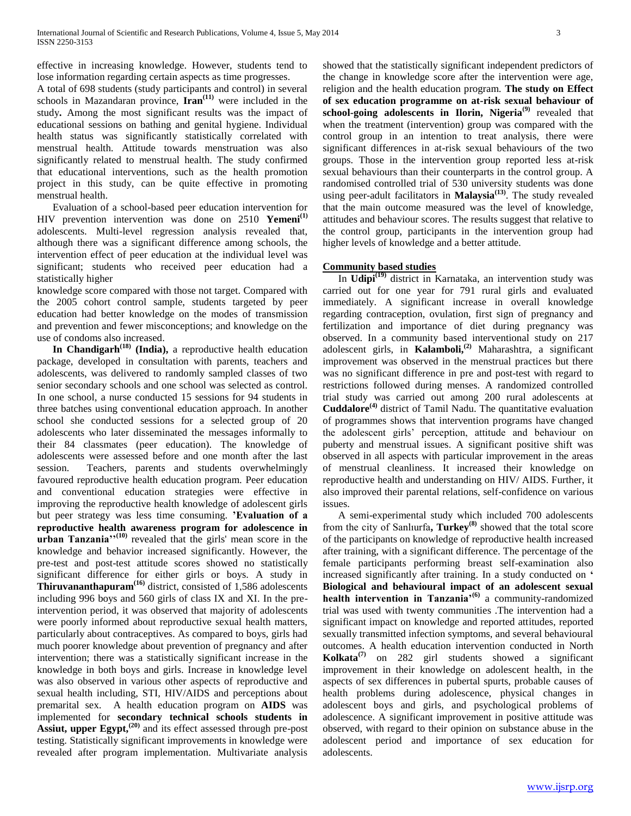effective in increasing knowledge. However, students tend to lose information regarding certain aspects as time progresses.

A total of 698 students (study participants and control) in several schools in Mazandaran province, **Iran**<sup>(11)</sup> were included in the study**.** Among the most significant results was the impact of educational sessions on bathing and genital hygiene. Individual health status was significantly statistically correlated with menstrual health. Attitude towards menstruation was also significantly related to menstrual health. The study confirmed that educational interventions, such as the health promotion project in this study, can be quite effective in promoting menstrual health.

 Evaluation of a school-based peer education intervention for HIV prevention intervention was done on 2510 **Yemeni(1)** adolescents. Multi-level regression analysis revealed that, although there was a significant difference among schools, the intervention effect of peer education at the individual level was significant; students who received peer education had a statistically higher

knowledge score compared with those not target. Compared with the 2005 cohort control sample, students targeted by peer education had better knowledge on the modes of transmission and prevention and fewer misconceptions; and knowledge on the use of condoms also increased.

 **In Chandigarh(18) (India),** a reproductive health education package, developed in consultation with parents, teachers and adolescents, was delivered to randomly sampled classes of two senior secondary schools and one school was selected as control. In one school, a nurse conducted 15 sessions for 94 students in three batches using conventional education approach. In another school she conducted sessions for a selected group of 20 adolescents who later disseminated the messages informally to their 84 classmates (peer education). The knowledge of adolescents were assessed before and one month after the last session. Teachers, parents and students overwhelmingly favoured reproductive health education program. Peer education and conventional education strategies were effective in improving the reproductive health knowledge of adolescent girls but peer strategy was less time consuming. **'Evaluation of a reproductive health awareness program for adolescence in urban Tanzania**<sup>"</sup><sup>(10)</sup> revealed that the girls' mean score in the knowledge and behavior increased significantly. However, the pre-test and post-test attitude scores showed no statistically significant difference for either girls or boys. A study in **Thiruvananthapuram(16)** district, consisted of 1,586 adolescents including 996 boys and 560 girls of class IX and XI. In the preintervention period, it was observed that majority of adolescents were poorly informed about reproductive sexual health matters, particularly about contraceptives. As compared to boys, girls had much poorer knowledge about prevention of pregnancy and after intervention; there was a statistically significant increase in the knowledge in both boys and girls. Increase in knowledge level was also observed in various other aspects of reproductive and sexual health including, STI, HIV/AIDS and perceptions about premarital sex. A health education program on **AIDS** was implemented for **secondary technical schools students in Assiut, upper Egypt,(20)** and its effect assessed through pre-post testing. Statistically significant improvements in knowledge were revealed after program implementation. Multivariate analysis showed that the statistically significant independent predictors of the change in knowledge score after the intervention were age, religion and the health education program. **The study on Effect of sex education programme on at-risk sexual behaviour of school-going adolescents in Ilorin, Nigeria<sup>(9)</sup> revealed that** when the treatment (intervention) group was compared with the control group in an intention to treat analysis, there were significant differences in at-risk sexual behaviours of the two groups. Those in the intervention group reported less at-risk sexual behaviours than their counterparts in the control group. A randomised controlled trial of 530 university students was done using peer-adult facilitators in **Malaysia(13)**. The study revealed that the main outcome measured was the level of knowledge, attitudes and behaviour scores. The results suggest that relative to the control group, participants in the intervention group had higher levels of knowledge and a better attitude.

## **Community based studies**

 In **Udipi(19)** district in Karnataka, an intervention study was carried out for one year for 791 rural girls and evaluated immediately. A significant increase in overall knowledge regarding contraception, ovulation, first sign of pregnancy and fertilization and importance of diet during pregnancy was observed. In a community based interventional study on 217 adolescent girls, in **Kalamboli,(2)** Maharashtra, a significant improvement was observed in the menstrual practices but there was no significant difference in pre and post-test with regard to restrictions followed during menses. A randomized controlled trial study was carried out among 200 rural adolescents at **Cuddalore(4)** district of Tamil Nadu. The quantitative evaluation of programmes shows that intervention programs have changed the adolescent girls' perception, attitude and behaviour on puberty and menstrual issues. A significant positive shift was observed in all aspects with particular improvement in the areas of menstrual cleanliness. It increased their knowledge on reproductive health and understanding on HIV/ AIDS. Further, it also improved their parental relations, self-confidence on various issues.

 A semi-experimental study which included 700 adolescents from the city of Sanlıurfa**, Turkey(8)** showed that the total score of the participants on knowledge of reproductive health increased after training, with a significant difference. The percentage of the female participants performing breast self-examination also increased significantly after training. In a study conducted on **' Biological and behavioural impact of an adolescent sexual health intervention in Tanzania'(6)** a community-randomized trial was used with twenty communities .The intervention had a significant impact on knowledge and reported attitudes, reported sexually transmitted infection symptoms, and several behavioural outcomes. A health education intervention conducted in North **Kolkata(7)** on 282 girl students showed a significant improvement in their knowledge on adolescent health, in the aspects of sex differences in pubertal spurts, probable causes of health problems during adolescence, physical changes in adolescent boys and girls, and psychological problems of adolescence. A significant improvement in positive attitude was observed, with regard to their opinion on substance abuse in the adolescent period and importance of sex education for adolescents.